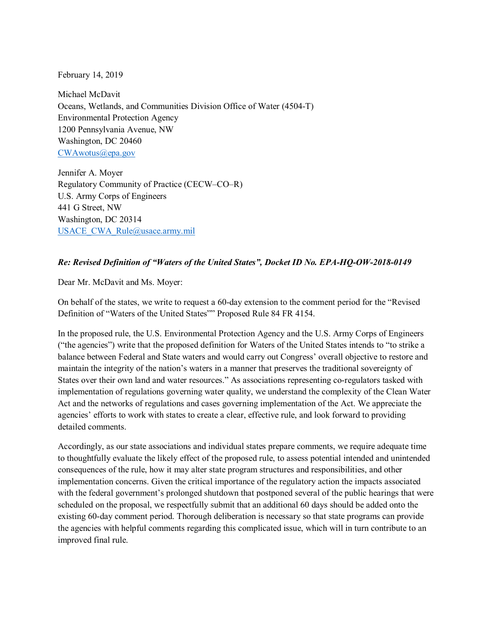February 14, 2019

Michael McDavit Oceans, Wetlands, and Communities Division Office of Water (4504-T) Environmental Protection Agency 1200 Pennsylvania Avenue, NW Washington, DC 20460 [CWAwotus@epa.gov](mailto:CWAwotus@epa.gov)

Jennifer A. Moyer Regulatory Community of Practice (CECW–CO–R) U.S. Army Corps of Engineers 441 G Street, NW Washington, DC 20314 [USACE\\_CWA\\_Rule@usace.army.mil](mailto:USACE_CWA_Rule@usace.army.mil)

## *Re: Revised Definition of "Waters of the United States", Docket ID No. EPA-HQ-OW-2018-0149*

Dear Mr. McDavit and Ms. Moyer:

On behalf of the states, we write to request a 60-day extension to the comment period for the "Revised Definition of "Waters of the United States"" Proposed Rule 84 FR 4154.

In the proposed rule, the U.S. Environmental Protection Agency and the U.S. Army Corps of Engineers ("the agencies") write that the proposed definition for Waters of the United States intends to "to strike a balance between Federal and State waters and would carry out Congress' overall objective to restore and maintain the integrity of the nation's waters in a manner that preserves the traditional sovereignty of States over their own land and water resources." As associations representing co-regulators tasked with implementation of regulations governing water quality, we understand the complexity of the Clean Water Act and the networks of regulations and cases governing implementation of the Act. We appreciate the agencies' efforts to work with states to create a clear, effective rule, and look forward to providing detailed comments.

Accordingly, as our state associations and individual states prepare comments, we require adequate time to thoughtfully evaluate the likely effect of the proposed rule, to assess potential intended and unintended consequences of the rule, how it may alter state program structures and responsibilities, and other implementation concerns. Given the critical importance of the regulatory action the impacts associated with the federal government's prolonged shutdown that postponed several of the public hearings that were scheduled on the proposal, we respectfully submit that an additional 60 days should be added onto the existing 60-day comment period. Thorough deliberation is necessary so that state programs can provide the agencies with helpful comments regarding this complicated issue, which will in turn contribute to an improved final rule.